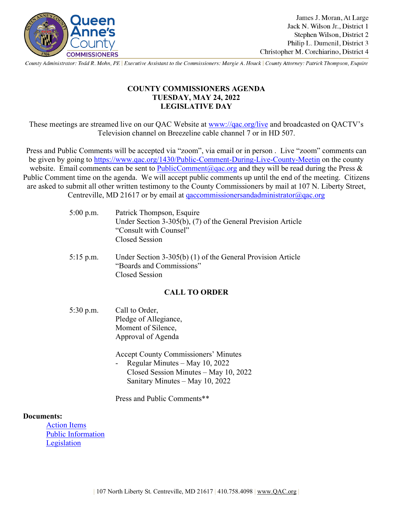

County Administrator: Todd R. Mohn, PE | Executive Assistant to the Commissioners: Margie A. Houck | County Attorney: Patrick Thompson, Esquire

# **COUNTY COMMISSIONERS AGENDA TUESDAY, MAY 24, 2022 LEGISLATIVE DAY**

These meetings are streamed live on our QAC Website at [www://qac.org/live](https://qac.org/live) and broadcasted on QACTV's Television channel on Breezeline cable channel 7 or in HD 507.

Press and Public Comments will be accepted via "zoom", via email or in person . Live "zoom" comments can be given by going to<https://www.qac.org/1430/Public-Comment-During-Live-County-Meetin> on the county website. Email comments can be sent to [PublicComment@qac.org](mailto:PublicComment@qac.org) and they will be read during the Press & Public Comment time on the agenda. We will accept public comments up until the end of the meeting. Citizens are asked to submit all other written testimony to the County Commissioners by mail at 107 N. Liberty Street,

Centreville, MD 21617 or by email at [qaccommissionersandadministrator@qac.org](mailto:qaccommissionersandadministrator@qac.org)

| $5:00$ p.m. | Patrick Thompson, Esquire<br>Under Section $3-305(b)$ , (7) of the General Prevision Article<br>"Consult with Counsel" |
|-------------|------------------------------------------------------------------------------------------------------------------------|
|             | Closed Session                                                                                                         |
| $5:15$ p.m. | Under Section 3-305(b) (1) of the General Provision Article                                                            |

5:15 p.m.Under Section 3-305(b) (1) of the General Provision Article "Boards and Commissions" Closed Session

### **CALL TO ORDER**

5:30 p.m. Call to Order, Pledge of Allegiance, Moment of Silence, Approval of Agenda

Accept County Commissioners' Minutes

- Regular Minutes – May 10, 2022 Closed Session Minutes – May 10, 2022 Sanitary Minutes – May 10, 2022

Press and Public Comments\*\*

### **Documents:**

[Action Items](https://www.qac.org/DocumentCenter/View/16433/Action-Items-52422) [Public Information](https://www.qac.org/DocumentCenter/View/16434/Public-Information-52422) [Legislation](https://www.qac.org/DocumentCenter/View/16435/Legislative-52422)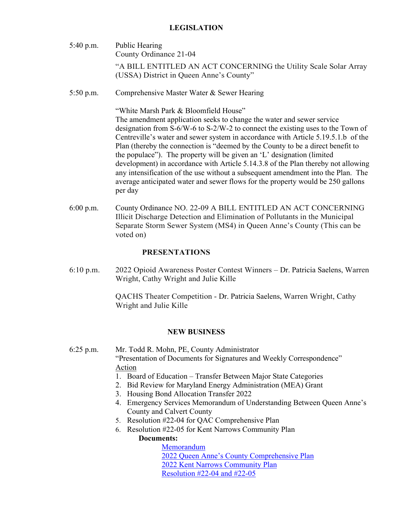## **LEGISLATION**

- 5:40 p.m. Public Hearing County Ordinance 21-04 "A BILL ENTITLED AN ACT CONCERNING the Utility Scale Solar Array (USSA) District in Queen Anne's County"
- 5:50 p.m. Comprehensive Master Water & Sewer Hearing

"White Marsh Park & Bloomfield House"

The amendment application seeks to change the water and sewer service designation from S-6/W-6 to S-2/W-2 to connect the existing uses to the Town of Centreville's water and sewer system in accordance with Article 5.19.5.1.b of the Plan (thereby the connection is "deemed by the County to be a direct benefit to the populace"). The property will be given an 'L' designation (limited development) in accordance with Article 5.14.3.8 of the Plan thereby not allowing any intensification of the use without a subsequent amendment into the Plan. The average anticipated water and sewer flows for the property would be 250 gallons per day

6:00 p.m. County Ordinance NO. 22-09 A BILL ENTITLED AN ACT CONCERNING Illicit Discharge Detection and Elimination of Pollutants in the Municipal Separate Storm Sewer System (MS4) in Queen Anne's County (This can be voted on)

## **PRESENTATIONS**

6:10 p.m. 2022 Opioid Awareness Poster Contest Winners – Dr. Patricia Saelens, Warren Wright, Cathy Wright and Julie Kille

> QACHS Theater Competition - Dr. Patricia Saelens, Warren Wright, Cathy Wright and Julie Kille

### **NEW BUSINESS**

6:25 p.m. Mr. Todd R. Mohn, PE, County Administrator "Presentation of Documents for Signatures and Weekly Correspondence" Action

- 1. Board of Education Transfer Between Major State Categories
- 2. Bid Review for Maryland Energy Administration (MEA) Grant
- 3. Housing Bond Allocation Transfer 2022
- 4. Emergency Services Memorandum of Understanding Between Queen Anne's County and Calvert County
- 5. Resolution #22-04 for QAC Comprehensive Plan
- 6. Resolution #22-05 for Kent Narrows Community Plan

### **Documents:**

**[Memorandum](https://www.qac.org/DocumentCenter/View/16415/BCC-memo_May-24)** [2022 Queen Anne's County Comprehensive Plan](https://www.qac.org/DocumentCenter/View/16418/2022-Queen-Annes-County-Comprehensive-Plan_NoExtraPgs) [2022 Kent Narrows Community Plan](https://www.qac.org/DocumentCenter/View/16416/2022-Kent-Narrows-Community-Plan_NoExtraPgs) [Resolution #22-04 and #22-05](https://www.qac.org/DocumentCenter/View/16417/Resolution-22-04-and-22-05_QACCP-and-KNCP-Adoption)